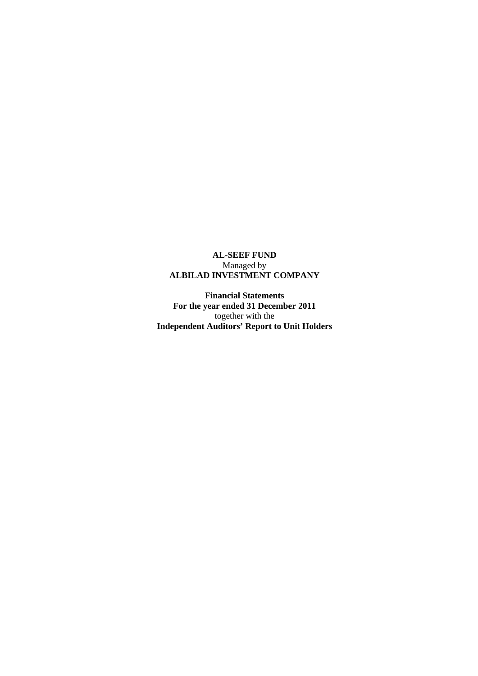# **AL-SEEF FUND**  Managed by **ALBILAD INVESTMENT COMPANY**

**Financial Statements For the year ended 31 December 2011**  together with the **Independent Auditors' Report to Unit Holders**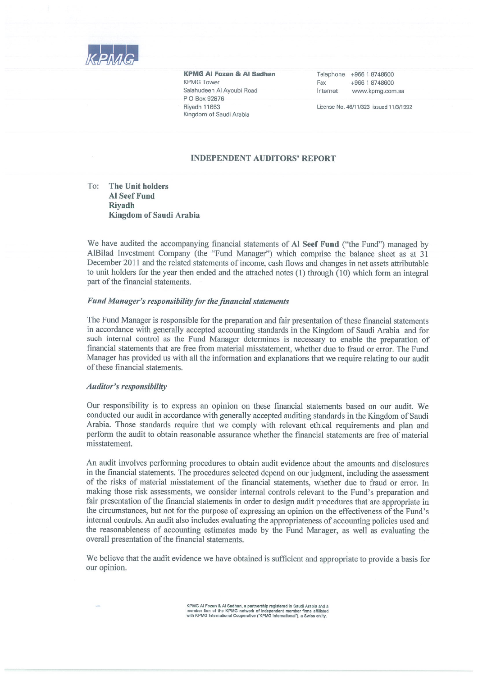

**KPMG AI Fozan & AI Sadhan KPMG Tower** Salahudeen Al Ayoubi Road P O Box 92876 **Rivadh 11663** Kingdom of Saudi Arabia

Telephone +966 1 8748500 Fax +966 1 8748600 Internet www.kpmg.com.sa

License No. 46/11/323 issued 11/3/1992

#### **INDEPENDENT AUDITORS' REPORT**

#### $To:$ The Unit holders **Al Seef Fund Rivadh Kingdom of Saudi Arabia**

We have audited the accompanying financial statements of Al Seef Fund ("the Fund") managed by AlBilad Investment Company (the "Fund Manager") which comprise the balance sheet as at 31 December 2011 and the related statements of income, cash flows and changes in net assets attributable to unit holders for the year then ended and the attached notes (1) through (10) which form an integral part of the financial statements.

#### Fund Manager's responsibility for the financial statements

The Fund Manager is responsible for the preparation and fair presentation of these financial statements in accordance with generally accepted accounting standards in the Kingdom of Saudi Arabia and for such internal control as the Fund Manager determines is necessary to enable the preparation of financial statements that are free from material misstatement, whether due to fraud or error. The Fund Manager has provided us with all the information and explanations that we require relating to our audit of these financial statements.

#### **Auditor's responsibility**

Our responsibility is to express an opinion on these financial statements based on our audit. We conducted our audit in accordance with generally accepted auditing standards in the Kingdom of Saudi Arabia. Those standards require that we comply with relevant ethical requirements and plan and perform the audit to obtain reasonable assurance whether the financial statements are free of material misstatement.

An audit involves performing procedures to obtain audit evidence about the amounts and disclosures in the financial statements. The procedures selected depend on our judgment, including the assessment of the risks of material misstatement of the financial statements, whether due to fraud or error. In making those risk assessments, we consider internal controls relevant to the Fund's preparation and fair presentation of the financial statements in order to design audit procedures that are appropriate in the circumstances, but not for the purpose of expressing an opinion on the effectiveness of the Fund's internal controls. An audit also includes evaluating the appropriateness of accounting policies used and the reasonableness of accounting estimates made by the Fund Manager, as well as evaluating the overall presentation of the financial statements.

We believe that the audit evidence we have obtained is sufficient and appropriate to provide a basis for our opinion.

KPMG Al Fozan & Al Sadhan, a partnership registered in Saudi Arabia and a<br>member firm of the KPMG network of independent member firms affiliated<br>with KPMG International Cooperative ("KPMG International"), a Swiss entity.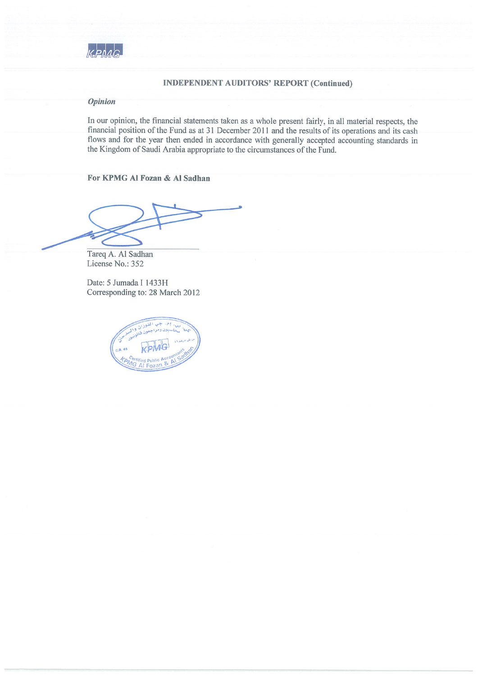

## **INDEPENDENT AUDITORS' REPORT (Continued)**

#### **Opinion**

In our opinion, the financial statements taken as a whole present fairly, in all material respects, the financial position of the Fund as at 31 December 2011 and the results of its operations and its cash flows and for the year then ended in accordance with generally accepted accounting standards in the Kingdom of Saudi Arabia appropriate to the circumstances of the Fund.

For KPMG Al Fozan & Al Sadhan

Tareq A. Al Sadhan License No.: 352

Date: 5 Jumada I 1433H Corresponding to: 28 March 2012

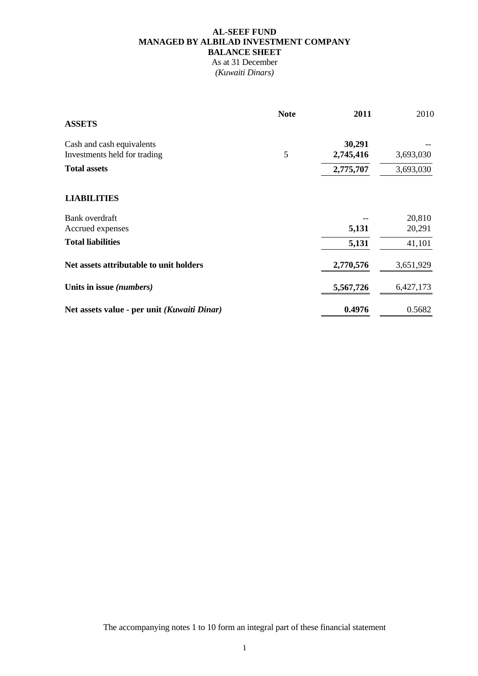# **AL-SEEF FUND MANAGED BY ALBILAD INVESTMENT COMPANY BALANCE SHEET**

As at 31 December *(Kuwaiti Dinars)* 

| <b>ASSETS</b>                               | <b>Note</b> | 2011      | 2010      |
|---------------------------------------------|-------------|-----------|-----------|
| Cash and cash equivalents                   |             | 30,291    |           |
| Investments held for trading                | 5           | 2,745,416 | 3,693,030 |
| <b>Total assets</b>                         |             | 2,775,707 | 3,693,030 |
| <b>LIABILITIES</b>                          |             |           |           |
| Bank overdraft                              |             |           | 20,810    |
| Accrued expenses                            |             | 5,131     | 20,291    |
| <b>Total liabilities</b>                    |             | 5,131     | 41,101    |
| Net assets attributable to unit holders     |             | 2,770,576 | 3,651,929 |
| Units in issue (numbers)                    |             | 5,567,726 | 6,427,173 |
| Net assets value - per unit (Kuwaiti Dinar) |             | 0.4976    | 0.5682    |

The accompanying notes 1 to 10 form an integral part of these financial statement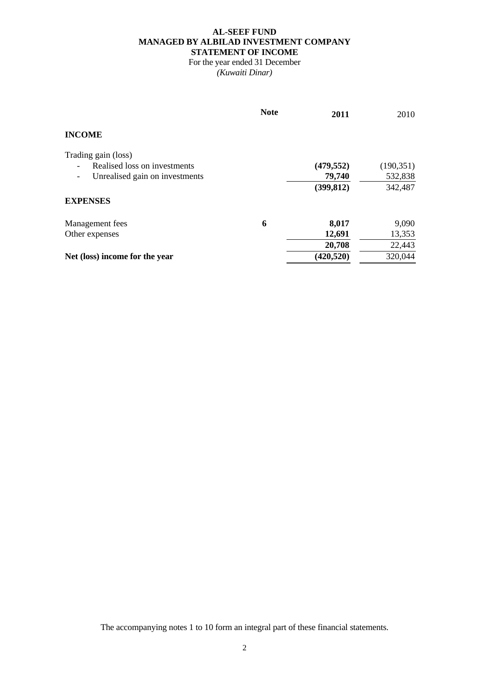## **AL-SEEF FUND MANAGED BY ALBILAD INVESTMENT COMPANY STATEMENT OF INCOME**

For the year ended 31 December *(Kuwaiti Dinar)* 

|                                | <b>Note</b> | 2011       | 2010       |
|--------------------------------|-------------|------------|------------|
| <b>INCOME</b>                  |             |            |            |
| Trading gain (loss)            |             |            |            |
| Realised loss on investments   |             | (479, 552) | (190, 351) |
| Unrealised gain on investments |             | 79,740     | 532,838    |
|                                |             | (399, 812) | 342,487    |
| <b>EXPENSES</b>                |             |            |            |
| Management fees                | 6           | 8,017      | 9,090      |
| Other expenses                 |             | 12,691     | 13,353     |
|                                |             | 20,708     | 22,443     |
| Net (loss) income for the year |             | (420, 520) | 320,044    |

The accompanying notes 1 to 10 form an integral part of these financial statements.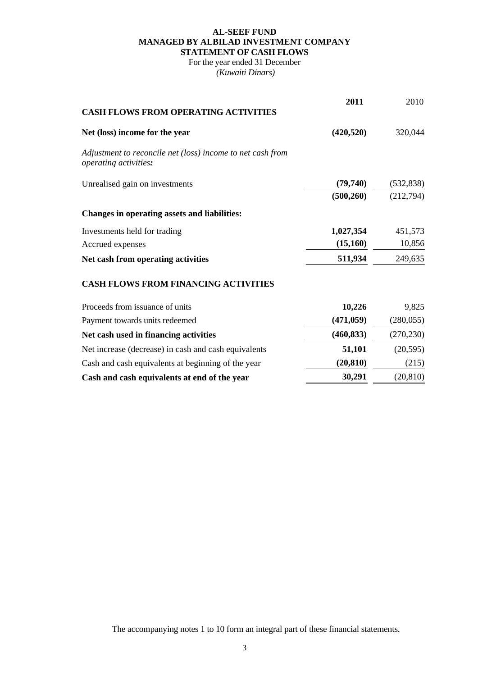# **AL-SEEF FUND MANAGED BY ALBILAD INVESTMENT COMPANY STATEMENT OF CASH FLOWS**

For the year ended 31 December  *(Kuwaiti Dinars)* 

| <b>CASH FLOWS FROM OPERATING ACTIVITIES</b>                                         | 2011       | 2010       |
|-------------------------------------------------------------------------------------|------------|------------|
|                                                                                     |            |            |
| Net (loss) income for the year                                                      | (420, 520) | 320,044    |
| Adjustment to reconcile net (loss) income to net cash from<br>operating activities: |            |            |
| Unrealised gain on investments                                                      | (79, 740)  | (532, 838) |
|                                                                                     | (500, 260) | (212,794)  |
| Changes in operating assets and liabilities:                                        |            |            |
| Investments held for trading                                                        | 1,027,354  | 451,573    |
| Accrued expenses                                                                    | (15,160)   | 10,856     |
| Net cash from operating activities                                                  | 511,934    | 249,635    |
| <b>CASH FLOWS FROM FINANCING ACTIVITIES</b>                                         |            |            |
| Proceeds from issuance of units                                                     | 10,226     | 9,825      |
| Payment towards units redeemed                                                      | (471, 059) | (280, 055) |
| Net cash used in financing activities                                               | (460, 833) | (270, 230) |
| Net increase (decrease) in cash and cash equivalents                                | 51,101     | (20, 595)  |
| Cash and cash equivalents at beginning of the year                                  | (20, 810)  | (215)      |
| Cash and cash equivalents at end of the year                                        | 30,291     | (20, 810)  |

The accompanying notes 1 to 10 form an integral part of these financial statements.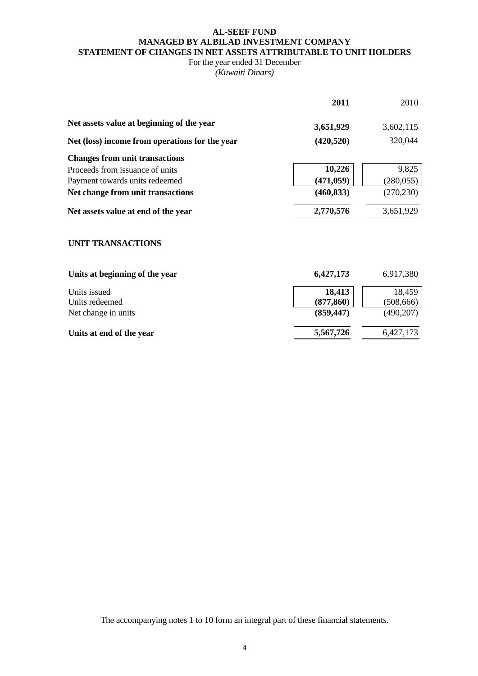## **AL-SEEF FUND MANAGED BY ALBILAD INVESTMENT COMPANY STATEMENT OF CHANGES IN NET ASSETS ATTRIBUTABLE TO UNIT HOLDERS**

# For the year ended 31 December

*(Kuwaiti Dinars)* 

|                                                | 2011       | 2010       |
|------------------------------------------------|------------|------------|
| Net assets value at beginning of the year      | 3,651,929  | 3,602,115  |
| Net (loss) income from operations for the year | (420, 520) | 320,044    |
| <b>Changes from unit transactions</b>          |            |            |
| Proceeds from issuance of units                | 10,226     | 9,825      |
| Payment towards units redeemed                 | (471, 059) | (280, 055) |
| Net change from unit transactions              | (460, 833) | (270, 230) |
| Net assets value at end of the year            | 2,770,576  | 3,651,929  |

# **UNIT TRANSACTIONS**

| Units at beginning of the year | 6,427,173  | 6,917,380  |  |
|--------------------------------|------------|------------|--|
| Units issued                   | 18,413     | 18,459     |  |
| Units redeemed                 | (877, 860) | (508, 666) |  |
| Net change in units            | (859, 447) | (490,207)  |  |
| Units at end of the year       | 5,567,726  | 6,427,173  |  |
|                                |            |            |  |

The accompanying notes 1 to 10 form an integral part of these financial statements.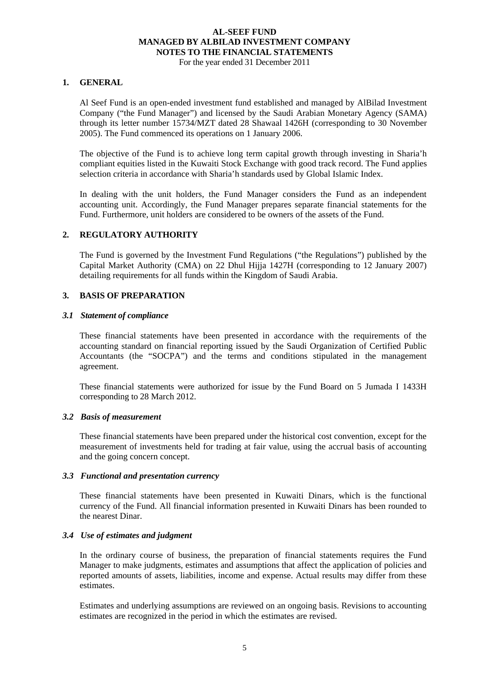For the year ended 31 December 2011

## **1. GENERAL**

Al Seef Fund is an open-ended investment fund established and managed by AlBilad Investment Company ("the Fund Manager") and licensed by the Saudi Arabian Monetary Agency (SAMA) through its letter number 15734/MZT dated 28 Shawaal 1426H (corresponding to 30 November 2005). The Fund commenced its operations on 1 January 2006.

The objective of the Fund is to achieve long term capital growth through investing in Sharia'h compliant equities listed in the Kuwaiti Stock Exchange with good track record. The Fund applies selection criteria in accordance with Sharia'h standards used by Global Islamic Index.

In dealing with the unit holders, the Fund Manager considers the Fund as an independent accounting unit. Accordingly, the Fund Manager prepares separate financial statements for the Fund. Furthermore, unit holders are considered to be owners of the assets of the Fund.

# **2. REGULATORY AUTHORITY**

The Fund is governed by the Investment Fund Regulations ("the Regulations") published by the Capital Market Authority (CMA) on 22 Dhul Hijja 1427H (corresponding to 12 January 2007) detailing requirements for all funds within the Kingdom of Saudi Arabia.

#### **3. BASIS OF PREPARATION**

#### *3.1 Statement of compliance*

These financial statements have been presented in accordance with the requirements of the accounting standard on financial reporting issued by the Saudi Organization of Certified Public Accountants (the "SOCPA") and the terms and conditions stipulated in the management agreement.

 These financial statements were authorized for issue by the Fund Board on 5 Jumada I 1433H corresponding to 28 March 2012.

#### *3.2 Basis of measurement*

These financial statements have been prepared under the historical cost convention, except for the measurement of investments held for trading at fair value, using the accrual basis of accounting and the going concern concept.

#### *3.3 Functional and presentation currency*

These financial statements have been presented in Kuwaiti Dinars, which is the functional currency of the Fund. All financial information presented in Kuwaiti Dinars has been rounded to the nearest Dinar.

#### *3.4 Use of estimates and judgment*

In the ordinary course of business, the preparation of financial statements requires the Fund Manager to make judgments, estimates and assumptions that affect the application of policies and reported amounts of assets, liabilities, income and expense. Actual results may differ from these estimates.

Estimates and underlying assumptions are reviewed on an ongoing basis. Revisions to accounting estimates are recognized in the period in which the estimates are revised.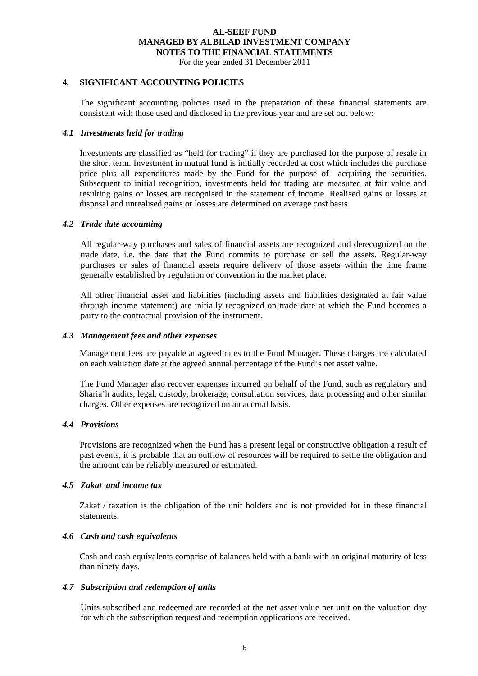For the year ended 31 December 2011

#### **4. SIGNIFICANT ACCOUNTING POLICIES**

The significant accounting policies used in the preparation of these financial statements are consistent with those used and disclosed in the previous year and are set out below:

#### *4.1 Investments held for trading*

Investments are classified as "held for trading" if they are purchased for the purpose of resale in the short term. Investment in mutual fund is initially recorded at cost which includes the purchase price plus all expenditures made by the Fund for the purpose of acquiring the securities. Subsequent to initial recognition, investments held for trading are measured at fair value and resulting gains or losses are recognised in the statement of income. Realised gains or losses at disposal and unrealised gains or losses are determined on average cost basis.

#### *4.2 Trade date accounting*

 All regular-way purchases and sales of financial assets are recognized and derecognized on the trade date, i.e. the date that the Fund commits to purchase or sell the assets. Regular-way purchases or sales of financial assets require delivery of those assets within the time frame generally established by regulation or convention in the market place.

 All other financial asset and liabilities (including assets and liabilities designated at fair value through income statement) are initially recognized on trade date at which the Fund becomes a party to the contractual provision of the instrument.

#### *4.3 Management fees and other expenses*

Management fees are payable at agreed rates to the Fund Manager. These charges are calculated on each valuation date at the agreed annual percentage of the Fund's net asset value.

The Fund Manager also recover expenses incurred on behalf of the Fund, such as regulatory and Sharia'h audits, legal, custody, brokerage, consultation services, data processing and other similar charges. Other expenses are recognized on an accrual basis.

#### *4.4 Provisions*

Provisions are recognized when the Fund has a present legal or constructive obligation a result of past events, it is probable that an outflow of resources will be required to settle the obligation and the amount can be reliably measured or estimated.

#### *4.5 Zakat and income tax*

Zakat / taxation is the obligation of the unit holders and is not provided for in these financial statements.

#### *4.6 Cash and cash equivalents*

Cash and cash equivalents comprise of balances held with a bank with an original maturity of less than ninety days.

## *4.7 Subscription and redemption of units*

Units subscribed and redeemed are recorded at the net asset value per unit on the valuation day for which the subscription request and redemption applications are received.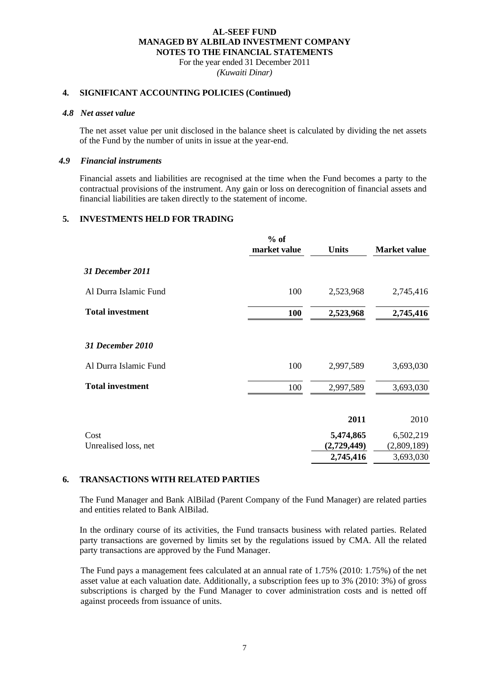For the year ended 31 December 2011 *(Kuwaiti Dinar)*

#### **4. SIGNIFICANT ACCOUNTING POLICIES (Continued)**

#### *4.8 Net asset value*

The net asset value per unit disclosed in the balance sheet is calculated by dividing the net assets of the Fund by the number of units in issue at the year-end.

## *4.9 Financial instruments*

Financial assets and liabilities are recognised at the time when the Fund becomes a party to the contractual provisions of the instrument. Any gain or loss on derecognition of financial assets and financial liabilities are taken directly to the statement of income.

#### **5. INVESTMENTS HELD FOR TRADING**

|                              | $%$ of<br>market value | <b>Units</b>             | <b>Market value</b>      |
|------------------------------|------------------------|--------------------------|--------------------------|
| 31 December 2011             |                        |                          |                          |
| Al Durra Islamic Fund        | 100                    | 2,523,968                | 2,745,416                |
| <b>Total investment</b>      | 100                    | 2,523,968                | 2,745,416                |
| 31 December 2010             |                        |                          |                          |
| Al Durra Islamic Fund        | 100                    | 2,997,589                | 3,693,030                |
| <b>Total investment</b>      | 100                    | 2,997,589                | 3,693,030                |
|                              |                        | 2011                     | 2010                     |
| Cost<br>Unrealised loss, net |                        | 5,474,865<br>(2,729,449) | 6,502,219<br>(2,809,189) |
|                              |                        | 2,745,416                | 3,693,030                |

#### **6. TRANSACTIONS WITH RELATED PARTIES**

The Fund Manager and Bank AlBilad (Parent Company of the Fund Manager) are related parties and entities related to Bank AlBilad.

In the ordinary course of its activities, the Fund transacts business with related parties. Related party transactions are governed by limits set by the regulations issued by CMA. All the related party transactions are approved by the Fund Manager.

The Fund pays a management fees calculated at an annual rate of 1.75% (2010: 1.75%) of the net asset value at each valuation date. Additionally, a subscription fees up to 3% (2010: 3%) of gross subscriptions is charged by the Fund Manager to cover administration costs and is netted off against proceeds from issuance of units.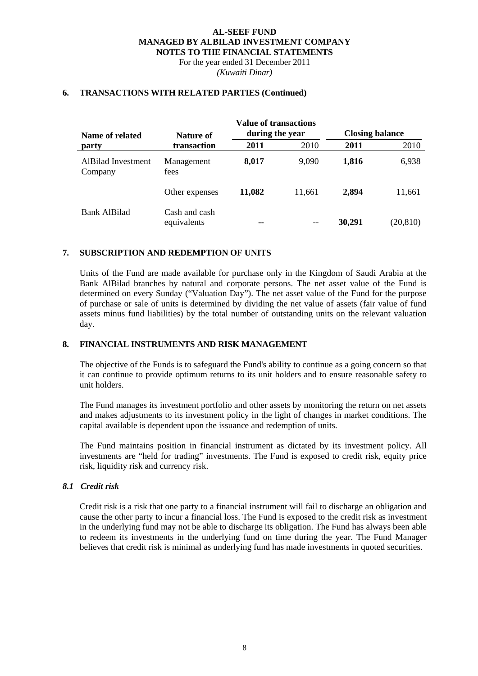For the year ended 31 December 2011 *(Kuwaiti Dinar)*

#### **6. TRANSACTIONS WITH RELATED PARTIES (Continued)**

| Name of related               | <b>Value of transactions</b><br>during the year<br><b>Nature of</b> |        | <b>Closing balance</b> |        |           |
|-------------------------------|---------------------------------------------------------------------|--------|------------------------|--------|-----------|
| party                         | transaction                                                         | 2011   | 2010                   | 2011   | 2010      |
| AlBilad Investment<br>Company | Management<br>fees                                                  | 8,017  | 9,090                  | 1,816  | 6,938     |
|                               | Other expenses                                                      | 11,082 | 11.661                 | 2,894  | 11,661    |
| Bank AlBilad                  | Cash and cash<br>equivalents                                        | --     |                        | 30,291 | (20, 810) |

#### **7. SUBSCRIPTION AND REDEMPTION OF UNITS**

Units of the Fund are made available for purchase only in the Kingdom of Saudi Arabia at the Bank AlBilad branches by natural and corporate persons. The net asset value of the Fund is determined on every Sunday ("Valuation Day"). The net asset value of the Fund for the purpose of purchase or sale of units is determined by dividing the net value of assets (fair value of fund assets minus fund liabilities) by the total number of outstanding units on the relevant valuation day.

#### **8. FINANCIAL INSTRUMENTS AND RISK MANAGEMENT**

The objective of the Funds is to safeguard the Fund's ability to continue as a going concern so that it can continue to provide optimum returns to its unit holders and to ensure reasonable safety to unit holders.

The Fund manages its investment portfolio and other assets by monitoring the return on net assets and makes adjustments to its investment policy in the light of changes in market conditions. The capital available is dependent upon the issuance and redemption of units.

The Fund maintains position in financial instrument as dictated by its investment policy. All investments are "held for trading" investments. The Fund is exposed to credit risk, equity price risk, liquidity risk and currency risk.

#### *8.1 Credit risk*

Credit risk is a risk that one party to a financial instrument will fail to discharge an obligation and cause the other party to incur a financial loss. The Fund is exposed to the credit risk as investment in the underlying fund may not be able to discharge its obligation. The Fund has always been able to redeem its investments in the underlying fund on time during the year. The Fund Manager believes that credit risk is minimal as underlying fund has made investments in quoted securities.